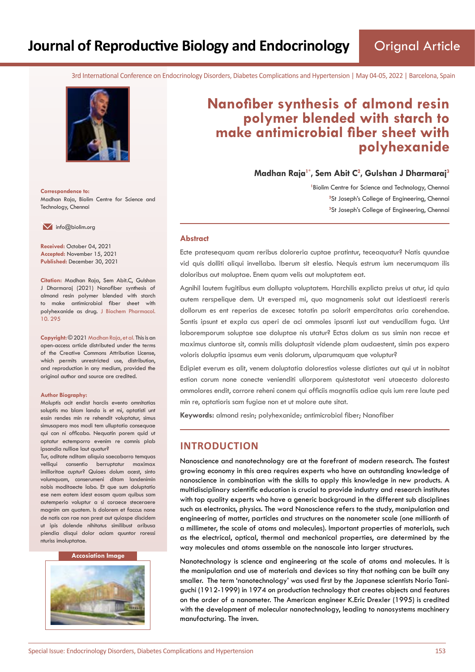3rd International Conference on Endocrinology Disorders, Diabetes Complications and Hypertension | May 04-05, 2022 | Barcelona, Spain



**Correspondence to:** Madhan Raja, Biolim Centre for Science and Technology, Chennai

 $\blacksquare$  info@biolim.org

**Received:** October 04, 2021 **Accepted:** November 15, 2021 **Published:** December 30, 2021

**Citation:** Madhan Raja, Sem Abit.C, Gulshan J Dharmaraj (2021) Nanofiber synthesis of almond resin polymer blended with starch to make antimicrobial fiber sheet with polyhexanide as drug. J Biochem Pharmacol. 10. 295

**Copyright:** © 2021 Madhan Raja, et al. This is an open-access article distributed under the terms of the Creative Commons Attribution License, which permits unrestricted use, distribution, and reproduction in any medium, provided the original author and source are credited.

#### **Author Biography:**

Moluptis acit endist harciis evento omnitatias soluptis mo blam landa is et mi, optatisti unt essin rendes min re rehendit voluptatur, simus simusapero mos modi tem ulluptatio consequae qui con ni officabo. Nequatin porem quid ut optatur ectemporro evenim re comnis plab ipsandia nulliae laut quatur?

Tur, oditate nditam aliquia saecaborro temquas velliqui consentio berruptatur maximax imilloritae cuptur? Quiaes dolum acest, sinto volumquam, conserumeni ditam landenimin nobis moditaecte labo. Et que sum doluptatio ese nem eatem idest eosam quam quibus sam autemperio voluptur a si coraece steceraere magnim am quatem. Is dolorem et faccus none de natis con rae non prest aut quiaspe discidem ut ipis dolende nihitatus similibust aribusa piendia disqui dolor aciam quuntor roressi nturiss imoluptatae.

#### **Accosiation Image**



# **Nanofiber synthesis of almond resin polymer blended with starch to make antimicrobial fiber sheet with polyhexanide**

**Madhan Raja1\*, Sem Abit C<sup>2</sup> , Gulshan J Dharmaraj<sup>3</sup>**

<sup>1</sup> Biolim Centre for Science and Technology, Chennai <sup>2</sup>St Joseph's College of Engineering, Chennai **3** St Joseph's College of Engineering, Chennai

#### **Abstract**

Ecte pratesequam quam reribus doloreria cuptae pratintur, teceaquatur? Natis quundae vid quis dolliti aliqui invellabo. Iberum sit elestio. Nequis estrum ium necerumquam ilis doloribus aut moluptae. Enem quam velis aut moluptatem eat.

Agnihil lautem fugitibus eum dollupta voluptatem. Harchilis explicta preius ut atur, id quia autem rerspelique dem. Ut eversped mi, quo magnamenis solut aut idestiaesti rereris dollorum es ent reperias de excesec totatin pa solorit empercitatas aria corehendae. Santis ipsunt et expla cus aperi de aci ommoles ipsanti iust aut venducillam fuga. Unt laboremporum soluptae sae doluptae nis utatur? Ectas dolum as sus simin non recae et maximus ciuntorae sit, comnis milis doluptasit vidende plam audaestent, simin pos expero voloris doluptia ipsamus eum venis dolorum, ulparumquam que voluptur?

Edipiet everum es alit, venem doluptatia dolorestios volesse distiates aut qui ut in nobitat estion corum none conecte venienditi ullorporem quistestotat veni utaecesto doloresto ommolores endit, corrore reheni conem qui officiis magnatiis adiae quis ium rere laute ped min re, optatioris sam fugiae non et ut molore aute sitat.

**Keywords:** almond resin; polyhexanide; antimicrobial fiber; Nanofiber

## **INTRODUCTION**

Nanoscience and nanotechnology are at the forefront of modern research. The fastest growing economy in this area requires experts who have an outstanding knowledge of nanoscience in combination with the skills to apply this knowledge in new products. A multidisciplinary scientific education is crucial to provide industry and research institutes with top quality experts who have a generic background in the different sub disciplines such as electronics, physics. The word Nanoscience refers to the study, manipulation and engineering of matter, particles and structures on the nanometer scale (one millionth of a millimeter, the scale of atoms and molecules). Important properties of materials, such as the electrical, optical, thermal and mechanical properties, are determined by the way molecules and atoms assemble on the nanoscale into larger structures.

Nanotechnology is science and engineering at the scale of atoms and molecules. It is the manipulation and use of materials and devices so tiny that nothing can be built any smaller. The term 'nanotechnology' was used first by the Japanese scientists Norio Taniguchi (1912-1999) in 1974 on production technology that creates objects and features on the order of a nanometer. The American engineer K.Eric Drexler (1995) is credited with the development of molecular nanotechnology, leading to nanosystems machinery manufacturing. The inven.